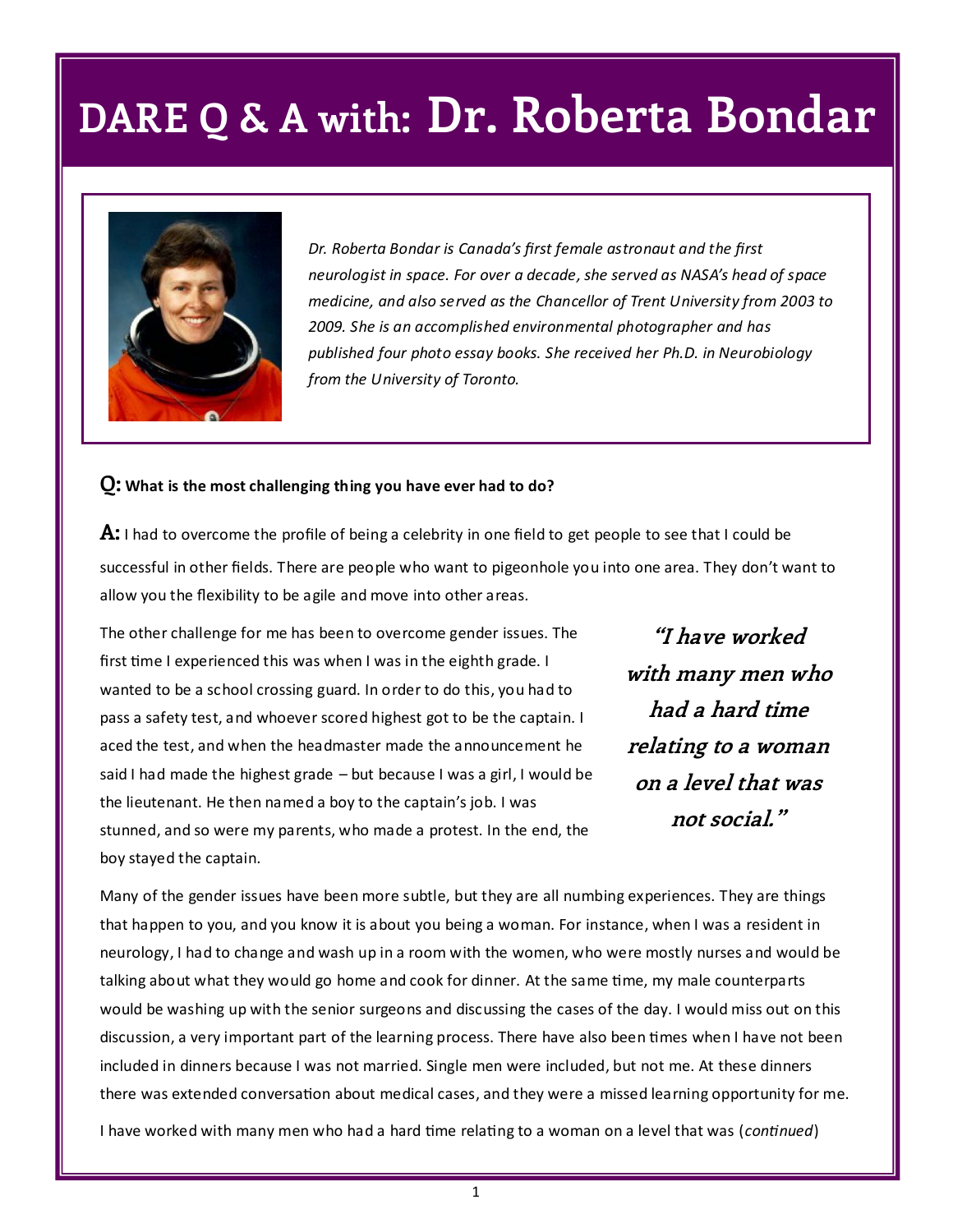

*Dr. Roberta Bondar is Canada's first female astronaut and the first neurologist in space. For over a decade, she served as NASA's head of space medicine, and also served as the Chancellor of Trent University from 2003 to 2009. She is an accomplished environmental photographer and has published four photo essay books. She received her Ph.D. in Neurobiology from the University of Toronto.*

#### **Q: What is the most challenging thing you have ever had to do?**

**A:** I had to overcome the profile of being a celebrity in one field to get people to see that I could be successful in other fields. There are people who want to pigeonhole you into one area. They don't want to allow you the flexibility to be agile and move into other areas.

The other challenge for me has been to overcome gender issues. The first time I experienced this was when I was in the eighth grade. I wanted to be a school crossing guard. In order to do this, you had to pass a safety test, and whoever scored highest got to be the captain. I aced the test, and when the headmaster made the announcement he said I had made the highest grade – but because I was a girl, I would be the lieutenant. He then named a boy to the captain's job. I was stunned, and so were my parents, who made a protest. In the end, the boy stayed the captain.

**"I have worked with many men who had a hard time relating to a woman on a level that was not social."**

Many of the gender issues have been more subtle, but they are all numbing experiences. They are things that happen to you, and you know it is about you being a woman. For instance, when I was a resident in neurology, I had to change and wash up in a room with the women, who were mostly nurses and would be talking about what they would go home and cook for dinner. At the same time, my male counterparts would be washing up with the senior surgeons and discussing the cases of the day. I would miss out on this discussion, a very important part of the learning process. There have also been times when I have not been included in dinners because I was not married. Single men were included, but not me. At these dinners there was extended conversation about medical cases, and they were a missed learning opportunity for me.

I have worked with many men who had a hard time relating to a woman on a level that was (*continued*)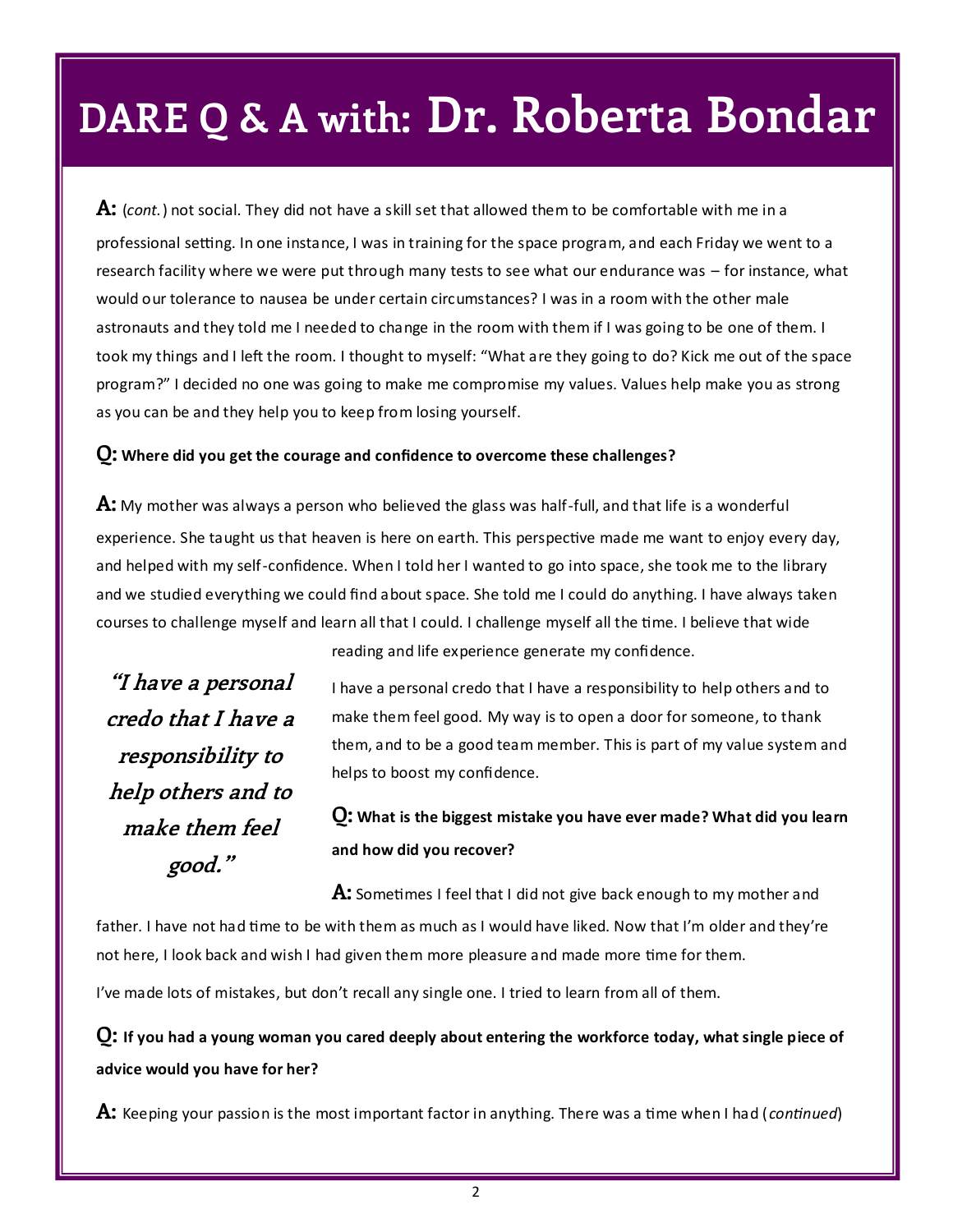**A:** (*cont.*) not social. They did not have a skill set that allowed them to be comfortable with me in a professional setting. In one instance, I was in training for the space program, and each Friday we went to a research facility where we were put through many tests to see what our endurance was – for instance, what would our tolerance to nausea be under certain circumstances? I was in a room with the other male astronauts and they told me I needed to change in the room with them if I was going to be one of them. I took my things and I left the room. I thought to myself: "What are they going to do? Kick me out of the space program?" I decided no one was going to make me compromise my values. Values help make you as strong as you can be and they help you to keep from losing yourself.

#### **Q: Where did you get the courage and confidence to overcome these challenges?**

**A:** My mother was always a person who believed the glass was half-full, and that life is a wonderful experience. She taught us that heaven is here on earth. This perspective made me want to enjoy every day, and helped with my self-confidence. When I told her I wanted to go into space, she took me to the library and we studied everything we could find about space. She told me I could do anything. I have always taken courses to challenge myself and learn all that I could. I challenge myself all the time. I believe that wide

**"I have a personal credo that I have a responsibility to help others and to make them feel good."**

reading and life experience generate my confidence.

I have a personal credo that I have a responsibility to help others and to make them feel good. My way is to open a door for someone, to thank them, and to be a good team member. This is part of my value system and helps to boost my confidence.

## **Q: What is the biggest mistake you have ever made? What did you learn and how did you recover?**

**A:** Sometimes I feel that I did not give back enough to my mother and father. I have not had time to be with them as much as I would have liked. Now that I'm older and they're not here, I look back and wish I had given them more pleasure and made more time for them.

I've made lots of mistakes, but don't recall any single one. I tried to learn from all of them.

**Q: If you had a young woman you cared deeply about entering the workforce today, what single piece of advice would you have for her?**

**A:** Keeping your passion is the most important factor in anything. There was a time when I had (*continued*)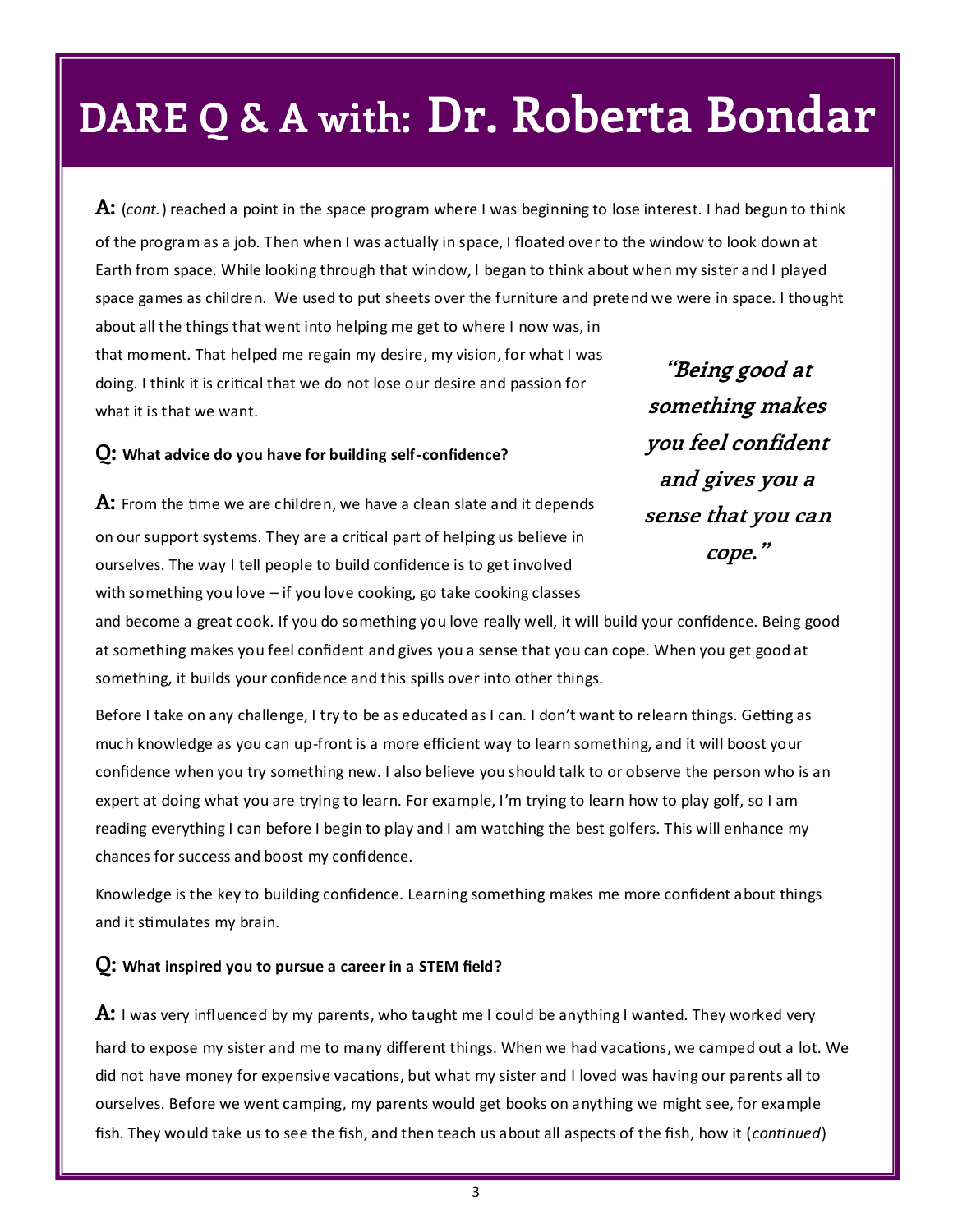**A:** (*cont.*) reached a point in the space program where I was beginning to lose interest. I had begun to think of the program as a job. Then when I was actually in space, I floated over to the window to look down at Earth from space. While looking through that window, I began to think about when my sister and I played space games as children. We used to put sheets over the furniture and pretend we were in space. I thought about all the things that went into helping me get to where I now was, in that moment. That helped me regain my desire, my vision, for what I was doing. I think it is critical that we do not lose our desire and passion for what it is that we want. **"Being good at something makes** 

#### **Q: What advice do you have for building self-confidence?**

**A:** From the time we are children, we have a clean slate and it depends on our support systems. They are a critical part of helping us believe in ourselves. The way I tell people to build confidence is to get involved with something you love – if you love cooking, go take cooking classes

**you feel confident and gives you a sense that you can cope."**

and become a great cook. If you do something you love really well, it will build your confidence. Being good at something makes you feel confident and gives you a sense that you can cope. When you get good at something, it builds your confidence and this spills over into other things.

Before I take on any challenge, I try to be as educated as I can. I don't want to relearn things. Getting as much knowledge as you can up-front is a more efficient way to learn something, and it will boost your confidence when you try something new. I also believe you should talk to or observe the person who is an expert at doing what you are trying to learn. For example, I'm trying to learn how to play golf, so I am reading everything I can before I begin to play and I am watching the best golfers. This will enhance my chances for success and boost my confidence.

Knowledge is the key to building confidence. Learning something makes me more confident about things and it stimulates my brain.

#### **Q: What inspired you to pursue a career in a STEM field?**

**A:** I was very influenced by my parents, who taught me I could be anything I wanted. They worked very hard to expose my sister and me to many different things. When we had vacations, we camped out a lot. We did not have money for expensive vacations, but what my sister and I loved was having our parents all to ourselves. Before we went camping, my parents would get books on anything we might see, for example fish. They would take us to see the fish, and then teach us about all aspects of the fish, how it (*continued*)